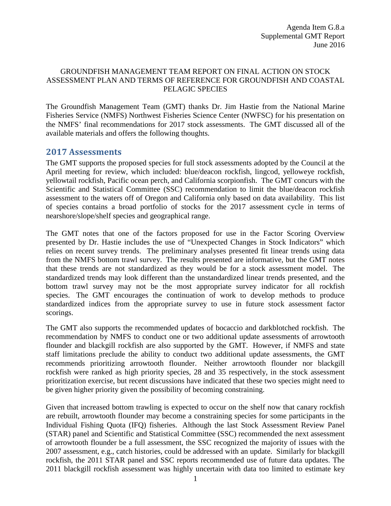## GROUNDFISH MANAGEMENT TEAM REPORT ON FINAL ACTION ON STOCK ASSESSMENT PLAN AND TERMS OF REFERENCE FOR GROUNDFISH AND COASTAL PELAGIC SPECIES

The Groundfish Management Team (GMT) thanks Dr. Jim Hastie from the National Marine Fisheries Service (NMFS) Northwest Fisheries Science Center (NWFSC) for his presentation on the NMFS' final recommendations for 2017 stock assessments. The GMT discussed all of the available materials and offers the following thoughts.

## **2017 Assessments**

The GMT supports the proposed species for full stock assessments adopted by the Council at the April meeting for review, which included: blue/deacon rockfish, lingcod, yelloweye rockfish, yellowtail rockfish, Pacific ocean perch, and California scorpionfish. The GMT concurs with the Scientific and Statistical Committee (SSC) recommendation to limit the blue/deacon rockfish assessment to the waters off of Oregon and California only based on data availability. This list of species contains a broad portfolio of stocks for the 2017 assessment cycle in terms of nearshore/slope/shelf species and geographical range.

The GMT notes that one of the factors proposed for use in the Factor Scoring Overview presented by Dr. Hastie includes the use of "Unexpected Changes in Stock Indicators" which relies on recent survey trends. The preliminary analyses presented fit linear trends using data from the NMFS bottom trawl survey. The results presented are informative, but the GMT notes that these trends are not standardized as they would be for a stock assessment model. The standardized trends may look different than the unstandardized linear trends presented, and the bottom trawl survey may not be the most appropriate survey indicator for all rockfish species. The GMT encourages the continuation of work to develop methods to produce standardized indices from the appropriate survey to use in future stock assessment factor scorings.

The GMT also supports the recommended updates of bocaccio and darkblotched rockfish. The recommendation by NMFS to conduct one or two additional update assessments of arrowtooth flounder and blackgill rockfish are also supported by the GMT. However, if NMFS and state staff limitations preclude the ability to conduct two additional update assessments, the GMT recommends prioritizing arrowtooth flounder. Neither arrowtooth flounder nor blackgill rockfish were ranked as high priority species, 28 and 35 respectively, in the stock assessment prioritization exercise, but recent discussions have indicated that these two species might need to be given higher priority given the possibility of becoming constraining.

Given that increased bottom trawling is expected to occur on the shelf now that canary rockfish are rebuilt, arrowtooth flounder may become a constraining species for some participants in the Individual Fishing Quota (IFQ) fisheries. Although the last Stock Assessment Review Panel (STAR) panel and Scientific and Statistical Committee (SSC) recommended the next assessment of arrowtooth flounder be a full assessment, the SSC recognized the majority of issues with the 2007 assessment, e.g., catch histories, could be addressed with an update. Similarly for blackgill rockfish, the 2011 STAR panel and SSC reports recommended use of future data updates. The 2011 blackgill rockfish assessment was highly uncertain with data too limited to estimate key